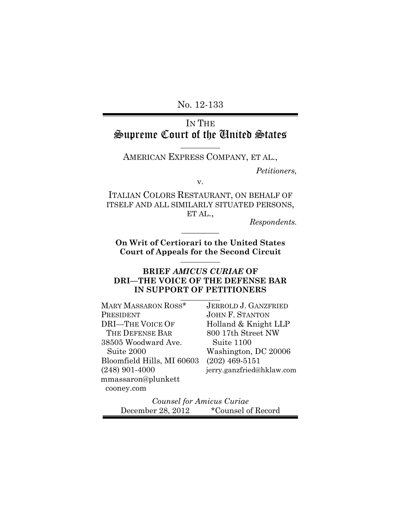No. 12-133

# IN THE Supreme Court of the United States

**\_\_\_\_\_\_\_\_\_\_\_** AMERICAN EXPRESS COMPANY, ET AL.,

*Petitioners,*

v.

ITALIAN COLORS RESTAURANT, ON BEHALF OF ITSELF AND ALL SIMILARLY SITUATED PERSONS, ET AL.,

*Respondents.*

**On Writ of Certiorari to the United States Court of Appeals for the Second Circuit \_\_\_\_\_\_\_\_\_\_\_**

**\_\_\_\_\_\_\_\_\_\_**

### **BRIEF** *AMICUS CURIAE* **OF DRI—THE VOICE OF THE DEFENSE BAR IN SUPPORT OF PETITIONERS**

| MARY MASSARON ROSS*        | <b>JERROLD J. GANZFRIED</b> |
|----------------------------|-----------------------------|
| PRESIDENT                  | <b>JOHN F. STANTON</b>      |
| <b>DRI-THE VOICE OF</b>    | Holland & Knight LLP        |
| THE DEFENSE BAR            | 800 17th Street NW          |
| 38505 Woodward Ave.        | Suite 1100                  |
| Suite 2000                 | Washington, DC 20006        |
| Bloomfield Hills, MI 60603 | $(202)$ 469-5151            |
| $(248)$ 901-4000           | jerry.ganzfried@hklaw.com   |
| mmassaron@plunkett         |                             |
| cooney.com                 |                             |

*Counsel for Amicus Curiae* December 28, 2012 \* Counsel of Record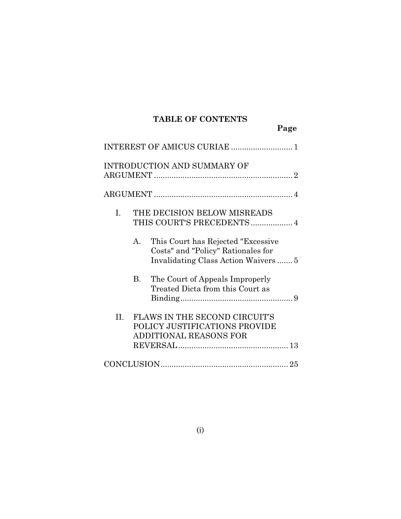# **TABLE OF CONTENTS**

|             |         |                                                                           | Page |
|-------------|---------|---------------------------------------------------------------------------|------|
|             |         |                                                                           |      |
|             |         | INTRODUCTION AND SUMMARY OF                                               |      |
|             |         |                                                                           |      |
| $I_{\cdot}$ |         | THE DECISION BELOW MISREADS<br>THIS COURT'S PRECEDENTS  4                 |      |
|             | $A_{-}$ | This Court has Rejected "Excessive"<br>Costs" and "Policy" Rationales for |      |
|             | В.      | The Court of Appeals Improperly<br>Treated Dicta from this Court as       |      |

Binding................................................... 9

| II. FLAWS IN THE SECOND CIRCUIT'S |  |
|-----------------------------------|--|
|                                   |  |
| POLICY JUSTIFICATIONS PROVIDE     |  |
| ADDITIONAL REASONS FOR            |  |
|                                   |  |
|                                   |  |
| $\bigcap$                         |  |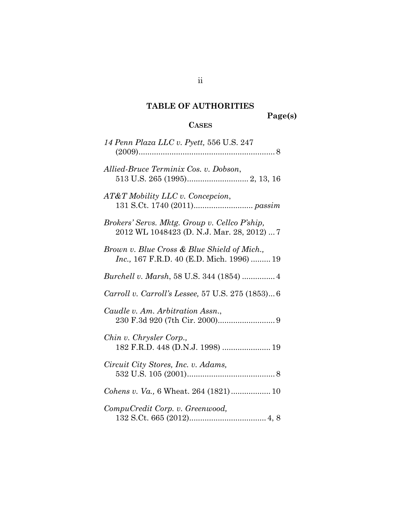# **TABLE OF AUTHORITIES**

**Page(s)**

# **CASES**

| 14 Penn Plaza LLC v. Pyett, 556 U.S. 247                                                         |
|--------------------------------------------------------------------------------------------------|
| Allied-Bruce Terminix Cos. v. Dobson,                                                            |
| AT&T Mobility LLC v. Concepcion,                                                                 |
| Brokers' Servs. Mktg. Group v. Cellco P'ship,<br>2012 WL 1048423 (D. N.J. Mar. 28, 2012)  7      |
| Brown v. Blue Cross & Blue Shield of Mich.,<br><i>Inc.</i> , 167 F.R.D. 40 (E.D. Mich. 1996)  19 |
|                                                                                                  |
| Carroll v. Carroll's Lessee, 57 U.S. 275 (1853) 6                                                |
| Caudle v. Am. Arbitration Assn.,                                                                 |
| Chin v. Chrysler Corp.,<br>182 F.R.D. 448 (D.N.J. 1998)  19                                      |
| Circuit City Stores, Inc. v. Adams,                                                              |
| Cohens v. Va., 6 Wheat. 264 (1821) 10                                                            |
| CompuCredit Corp. v. Greenwood,                                                                  |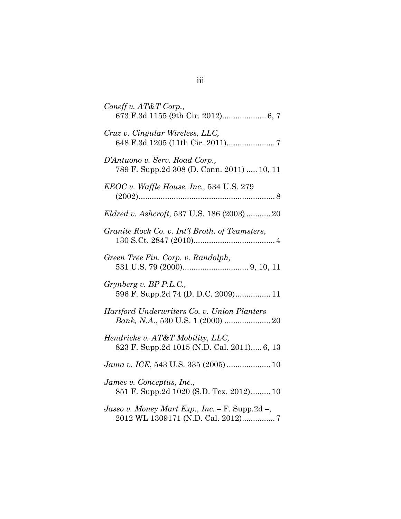| Coneff v. AT&T Corp.,                                                                  |
|----------------------------------------------------------------------------------------|
| Cruz v. Cingular Wireless, LLC,                                                        |
| D'Antuono v. Serv. Road Corp.,<br>789 F. Supp.2d 308 (D. Conn. 2011)  10, 11           |
| $EEOC v.$ Waffle House, Inc., 534 U.S. 279                                             |
| Eldred v. Ashcroft, 537 U.S. 186 (2003)  20                                            |
| Granite Rock Co. v. Int'l Broth. of Teamsters,                                         |
| Green Tree Fin. Corp. v. Randolph,                                                     |
| Grynberg v. BP P.L.C.,<br>596 F. Supp.2d 74 (D. D.C. 2009) 11                          |
| Hartford Underwriters Co. v. Union Planters                                            |
| Hendricks v. AT&T Mobility, LLC,<br>823 F. Supp.2d 1015 (N.D. Cal. 2011) 6, 13         |
| Jama v. ICE, 543 U.S. 335 (2005)  10                                                   |
| James v. Conceptus, Inc.,<br>851 F. Supp.2d 1020 (S.D. Tex. 2012) 10                   |
| Jasso v. Money Mart Exp., Inc. – F. Supp. $2d$ –,<br>2012 WL 1309171 (N.D. Cal. 2012)7 |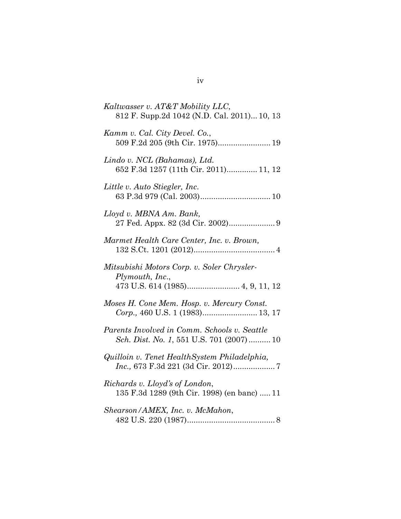| Kaltwasser v. AT&T Mobility LLC,<br>812 F. Supp.2d 1042 (N.D. Cal. 2011) 10, 13          |
|------------------------------------------------------------------------------------------|
| Kamm v. Cal. City Devel. Co.,                                                            |
| Lindo v. NCL (Bahamas), Ltd.<br>652 F.3d 1257 (11th Cir. 2011) 11, 12                    |
| Little v. Auto Stiegler, Inc.                                                            |
| Lloyd v. MBNA Am. Bank,                                                                  |
| Marmet Health Care Center, Inc. v. Brown,                                                |
| Mitsubishi Motors Corp. v. Soler Chrysler-<br>Plymouth, Inc.,                            |
| Moses H. Cone Mem. Hosp. v. Mercury Const.<br>Corp., 460 U.S. 1 (1983) 13, 17            |
| Parents Involved in Comm. Schools v. Seattle<br>Sch. Dist. No. 1, 551 U.S. 701 (2007) 10 |
| Quilloin v. Tenet HealthSystem Philadelphia,                                             |
| Richards v. Lloyd's of London,<br>135 F.3d 1289 (9th Cir. 1998) (en banc)  11            |
| Shearson/AMEX, Inc. v. McMahon,                                                          |

# iv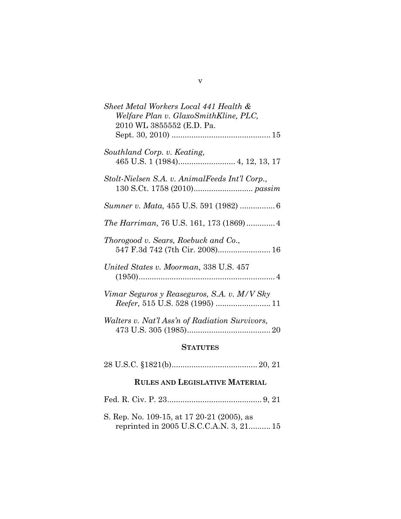| Sheet Metal Workers Local 441 Health &<br>Welfare Plan v. GlaxoSmithKline, PLC,<br>2010 WL 3855552 (E.D. Pa. |
|--------------------------------------------------------------------------------------------------------------|
|                                                                                                              |
| Southland Corp. v. Keating,                                                                                  |
| Stolt-Nielsen S.A. v. AnimalFeeds Int'l Corp.,                                                               |
|                                                                                                              |
|                                                                                                              |
| Thorogood v. Sears, Roebuck and Co.,<br>547 F.3d 742 (7th Cir. 2008) 16                                      |
| United States v. Moorman, 338 U.S. 457                                                                       |
| Vimar Seguros y Reaseguros, S.A. v. M/V Sky                                                                  |
| Walters v. Nat'l Ass'n of Radiation Survivors,                                                               |
| <b>STATUTES</b>                                                                                              |

|--|--|

# **RULES AND LEGISLATIVE MATERIAL**

Fed. R. Civ. P. 23........................................... [9,](#page-16-7) [21](#page-29-4)

S. Rep. No. 109-15, at 17 20-21 (2005), as reprinted in 2005 U.S.C.C.A.N. 3, 21.......... [15](#page-23-1)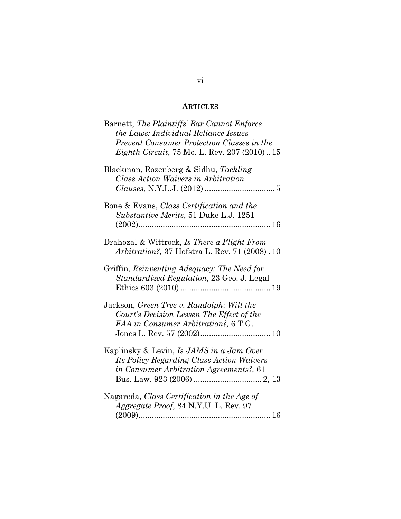## **ARTICLES**

| Barnett, The Plaintiffs' Bar Cannot Enforce<br>the Laws: Individual Reliance Issues                                              |
|----------------------------------------------------------------------------------------------------------------------------------|
| Prevent Consumer Protection Classes in the<br><i>Eighth Circuit, 75 Mo. L. Rev. 207 (2010)15</i>                                 |
| Blackman, Rozenberg & Sidhu, Tackling<br><b>Class Action Waivers in Arbitration</b>                                              |
| Bone & Evans, Class Certification and the<br><i>Substantive Merits</i> , 51 Duke L.J. 1251                                       |
| Drahozal & Wittrock, Is There a Flight From<br><i>Arbitration?</i> , 37 Hofstra L. Rev. 71 (2008) . 10                           |
| Griffin, Reinventing Adequacy: The Need for<br>Standardized Regulation, 23 Geo. J. Legal                                         |
| Jackson, Green Tree v. Randolph: Will the<br>Court's Decision Lessen The Effect of the<br>FAA in Consumer Arbitration?, 6 T.G.   |
| Kaplinsky & Levin, Is JAMS in a Jam Over<br>Its Policy Regarding Class Action Waivers<br>in Consumer Arbitration Agreements?, 61 |
| Nagareda, Class Certification in the Age of<br>Aggregate Proof, 84 N.Y.U. L. Rev. 97                                             |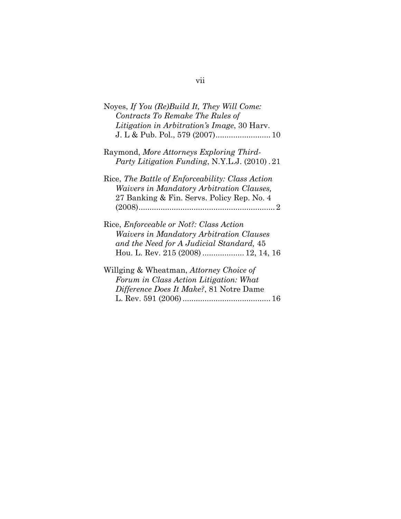| Noyes, If You (Re)Build It, They Will Come:<br>Contracts To Remake The Rules of<br>Litigation in Arbitration's Image, 30 Harv.                                                       |
|--------------------------------------------------------------------------------------------------------------------------------------------------------------------------------------|
| Raymond, More Attorneys Exploring Third-<br>Party Litigation Funding, N.Y.L.J. (2010). 21                                                                                            |
| Rice, The Battle of Enforceability: Class Action<br>Waivers in Mandatory Arbitration Clauses,<br>27 Banking & Fin. Servs. Policy Rep. No. 4                                          |
| Rice, <i>Enforceable or Not?: Class Action</i><br><i>Waivers in Mandatory Arbitration Clauses</i><br>and the Need for A Judicial Standard, 45<br>Hou. L. Rev. 215 (2008)  12, 14, 16 |
| Willging & Wheatman, Attorney Choice of<br>Forum in Class Action Litigation: What<br>Difference Does It Make?, 81 Notre Dame                                                         |

# vii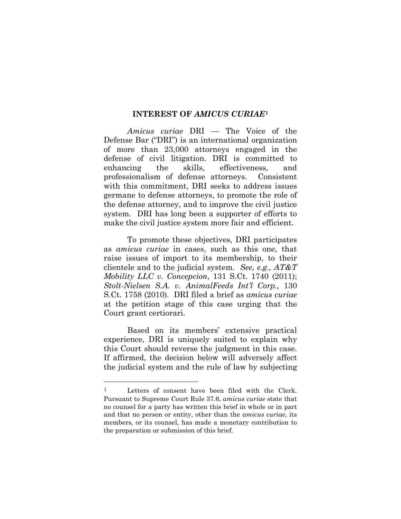#### **INTEREST OF** *AMICUS CURIAE***[1](#page-8-2)**

*Amicus curiae* DRI — The Voice of the Defense Bar ("DRI") is an international organization of more than 23,000 attorneys engaged in the defense of civil litigation. DRI is committed to enhancing the skills, effectiveness, and professionalism of defense attorneys. Consistent with this commitment, DRI seeks to address issues germane to defense attorneys, to promote the role of the defense attorney, and to improve the civil justice system. DRI has long been a supporter of efforts to make the civil justice system more fair and efficient.

<span id="page-8-1"></span><span id="page-8-0"></span>To promote these objectives, DRI participates as *amicus curiae* in cases, such as this one, that raise issues of import to its membership, to their clientele and to the judicial system. *See, e.g., AT&T Mobility LLC v. Concepcion*, 131 S.Ct. 1740 (2011); *[Stolt-Nielsen S.A. v. AnimalFeeds Int'l Corp.,](https://web2.westlaw.com/find/default.wl?returnto=BusinessNameReturnTo&db=BC-COMPANYSRBD&rs=WLW12.04&lvbp=T&vr=2.0&rp=%2ffind%2fdefault.wl&sv=Split&fn=_top&findtype=l&mt=Westlaw&docname=CIK(LE10228608))* 130 S.Ct. 1758 (2010). DRI filed a brief as *amicus curiae*  at the petition stage of this case urging that the Court grant certiorari.

Based on its members' extensive practical experience, DRI is uniquely suited to explain why this Court should reverse the judgment in this case. If affirmed, the decision below will adversely affect the judicial system and the rule of law by subjecting

<span id="page-8-2"></span> <sup>1</sup> Letters of consent have been filed with the Clerk. Pursuant to Supreme Court Rule 37.6, *amicus curiae* state that no counsel for a party has written this brief in whole or in part and that no person or entity, other than the *amicus curiae*, its members, or its counsel, has made a monetary contribution to the preparation or submission of this brief.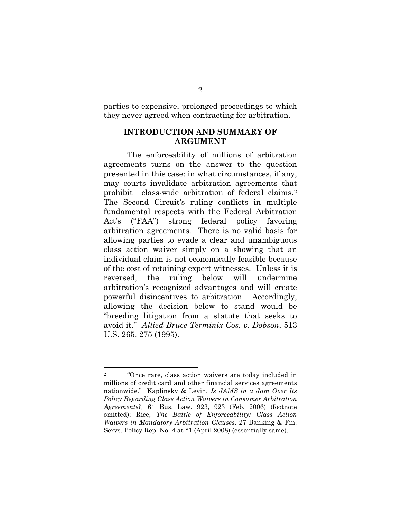parties to expensive, prolonged proceedings to which they never agreed when contracting for arbitration.

#### **INTRODUCTION AND SUMMARY OF ARGUMENT**

The enforceability of millions of arbitration agreements turns on the answer to the question presented in this case: in what circumstances, if any, may courts invalidate arbitration agreements that prohibit class-wide arbitration of federal claims.[2](#page-9-3) The Second Circuit's ruling conflicts in multiple fundamental respects with the Federal Arbitration Act's ("FAA") strong federal policy favoring arbitration agreements. There is no valid basis for allowing parties to evade a clear and unambiguous class action waiver simply on a showing that an individual claim is not economically feasible because of the cost of retaining expert witnesses. Unless it is reversed, the ruling below will undermine arbitration's recognized advantages and will create powerful disincentives to arbitration. Accordingly, allowing the decision below to stand would be "breeding litigation from a statute that seeks to avoid it." *Allied-Bruce Terminix Cos. v. Dobson*, 513 U.S. 265, 275 (1995).

<span id="page-9-3"></span><span id="page-9-2"></span><span id="page-9-1"></span><span id="page-9-0"></span> <sup>2</sup> "Once rare, class action waivers are today included in millions of credit card and other financial services agreements nationwide." Kaplinsky & Levin, *Is JAMS in a Jam Over Its Policy Regarding Class Action Waivers in Consumer Arbitration Agreements?,* 61 Bus. Law. 923, 923 (Feb. 2006) (footnote omitted); Rice, *The Battle of Enforceability: Class Action Waivers in Mandatory Arbitration Clauses,* 27 Banking & Fin. Servs. Policy Rep. No. 4 at \*1 (April 2008) (essentially same).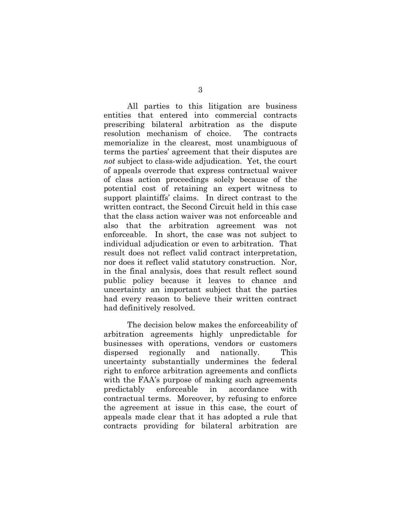All parties to this litigation are business entities that entered into commercial contracts prescribing bilateral arbitration as the dispute resolution mechanism of choice. The contracts memorialize in the clearest, most unambiguous of terms the parties' agreement that their disputes are *not* subject to class-wide adjudication. Yet, the court of appeals overrode that express contractual waiver of class action proceedings solely because of the potential cost of retaining an expert witness to support plaintiffs' claims. In direct contrast to the written contract, the Second Circuit held in this case that the class action waiver was not enforceable and also that the arbitration agreement was not enforceable. In short, the case was not subject to individual adjudication or even to arbitration. That result does not reflect valid contract interpretation, nor does it reflect valid statutory construction. Nor, in the final analysis, does that result reflect sound public policy because it leaves to chance and uncertainty an important subject that the parties had every reason to believe their written contract had definitively resolved.

The decision below makes the enforceability of arbitration agreements highly unpredictable for businesses with operations, vendors or customers dispersed regionally and nationally. This uncertainty substantially undermines the federal right to enforce arbitration agreements and conflicts with the FAA's purpose of making such agreements predictably enforceable in accordance with contractual terms. Moreover, by refusing to enforce the agreement at issue in this case, the court of appeals made clear that it has adopted a rule that contracts providing for bilateral arbitration are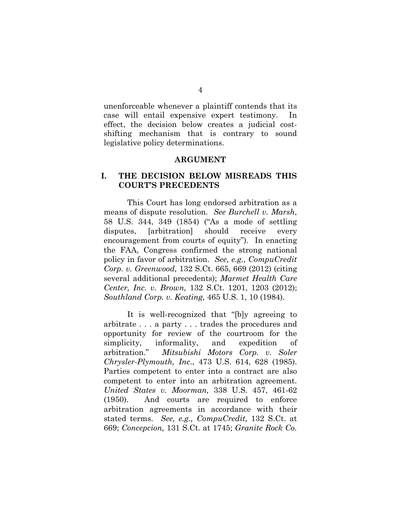unenforceable whenever a plaintiff contends that its case will entail expensive expert testimony. In effect, the decision below creates a judicial costshifting mechanism that is contrary to sound legislative policy determinations.

#### <span id="page-11-1"></span><span id="page-11-0"></span>**ARGUMENT**

#### **I. THE DECISION BELOW MISREADS THIS COURT'S PRECEDENTS**

This Court has long endorsed arbitration as a means of dispute resolution. *See Burchell v. Marsh*, 58 U.S. 344, 349 (1854) ("As a mode of settling disputes, [arbitration] should receive every encouragement from courts of equity"). In enacting the FAA, Congress confirmed the strong national policy in favor of arbitration. *See, e.g., [CompuCredit](https://web2.westlaw.com/find/default.wl?rs=WLW12.04&pbc=BC6E23F9&vr=2.0&docname=CIK(0001068199)&lvbp=T&rp=%2ffind%2fdefault.wl&sv=Split&fn=_top&findtype=l&mt=Westlaw&returnto=BusinessNameReturnTo&db=BC-COMPANYSRBD)  [Corp. v. Greenwood,](https://web2.westlaw.com/find/default.wl?rs=WLW12.04&pbc=BC6E23F9&vr=2.0&docname=CIK(0001068199)&lvbp=T&rp=%2ffind%2fdefault.wl&sv=Split&fn=_top&findtype=l&mt=Westlaw&returnto=BusinessNameReturnTo&db=BC-COMPANYSRBD)* 132 S.Ct. 665, 669 (2012) (citing several additional precedents); *[Marmet Health Care](https://web2.westlaw.com/find/default.wl?rs=WLW12.04&pbc=8CEAD9AF&vr=2.0&docname=CIK(LE00107683)&lvbp=T&rp=%2ffind%2fdefault.wl&sv=Split&fn=_top&findtype=l&mt=Westlaw&returnto=BusinessNameReturnTo&db=BC-COMPANYSRBD)  [Center, Inc. v. Brown,](https://web2.westlaw.com/find/default.wl?rs=WLW12.04&pbc=8CEAD9AF&vr=2.0&docname=CIK(LE00107683)&lvbp=T&rp=%2ffind%2fdefault.wl&sv=Split&fn=_top&findtype=l&mt=Westlaw&returnto=BusinessNameReturnTo&db=BC-COMPANYSRBD)* 132 S.Ct. 1201, 1203 (2012); *Southland Corp. v. Keating,* 465 U.S. 1, 10 (1984).

<span id="page-11-6"></span><span id="page-11-5"></span><span id="page-11-4"></span><span id="page-11-3"></span><span id="page-11-2"></span>It is well-recognized that "[b]y agreeing to arbitrate . . . a party . . . trades the procedures and opportunity for review of the courtroom for the simplicity, informality, and expedition of arbitration." *Mitsubishi Motors Corp. v. Soler Chrysler-Plymouth, Inc*., 473 U.S. 614, 628 (1985). Parties competent to enter into a contract are also competent to enter into an arbitration agreement. *United States v. Moorman,* 338 U.S. 457, 461-62 (1950). And courts are required to enforce arbitration agreements in accordance with their stated terms. *See, e.g., CompuCredit,* 132 S.Ct. at 669; *Concepcion,* 131 S.Ct. at 1745; *[Granite Rock Co.](https://web2.westlaw.com/find/default.wl?returnto=BusinessNameReturnTo&db=BC-COMPANYSRBD&rs=WLW12.10&lvbp=T&vr=2.0&rp=%2ffind%2fdefault.wl&sv=Split&fn=_top&findtype=l&mt=Westlaw&docname=CIK(LE00114395))*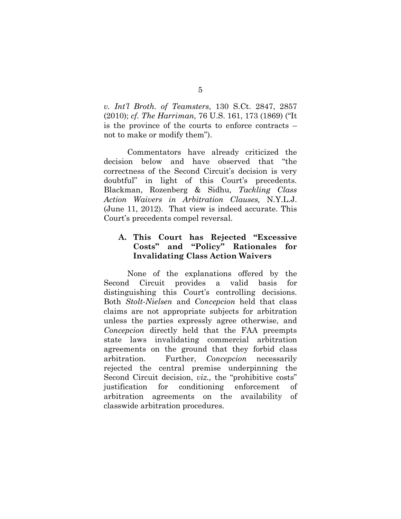<span id="page-12-0"></span>*v. Int'l Broth. of Teamsters*, 130 S.Ct. 2847, 2857 (2010); *cf. The Harriman,* 76 U.S. 161, 173 (1869) ("It is the province of the courts to enforce contracts – not to make or modify them").

<span id="page-12-1"></span>Commentators have already criticized the decision below and have observed that "the correctness of the Second Circuit's decision is very doubtful" in light of this Court's precedents. Blackman, Rozenberg & Sidhu, *Tackling Class Action Waivers in Arbitration Clauses,* N.Y.L.J. (June 11, 2012). That view is indeed accurate. This Court's precedents compel reversal.

## **A. This Court has Rejected "Excessive Costs" and "Policy" Rationales for Invalidating Class Action Waivers**

None of the explanations offered by the Second Circuit provides a valid basis for distinguishing this Court's controlling decisions. Both *Stolt-Nielsen* and *Concepcion* held that class claims are not appropriate subjects for arbitration unless the parties expressly agree otherwise, and *Concepcion* directly held that the FAA preempts state laws invalidating commercial arbitration agreements on the ground that they forbid class arbitration. Further, *Concepcion* necessarily rejected the central premise underpinning the Second Circuit decision, *viz.*, the "prohibitive costs" justification for conditioning enforcement of arbitration agreements on the availability of classwide arbitration procedures.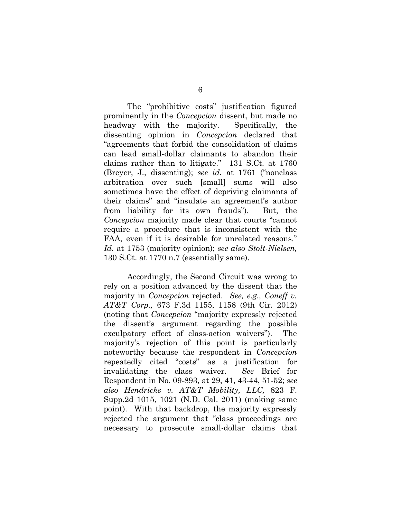The "prohibitive costs" justification figured prominently in the *Concepcion* dissent, but made no headway with the majority. Specifically, the dissenting opinion in *Concepcion* declared that "agreements that forbid the consolidation of claims can lead small-dollar claimants to abandon their claims rather than to litigate." 131 S.Ct. at 1760 (Breyer, J., dissenting); *see id.* at 1761 ("nonclass arbitration over such [small] sums will also sometimes have the effect of depriving claimants of their claims" and "insulate an agreement's author from liability for its own frauds"). But, the *Concepcion* majority made clear that courts "cannot require a procedure that is inconsistent with the FAA, even if it is desirable for unrelated reasons." *Id.* at 1753 (majority opinion); *see also Stolt-Nielsen,*  130 S.Ct. at 1770 n.7 (essentially same).

<span id="page-13-1"></span><span id="page-13-0"></span>Accordingly, the Second Circuit was wrong to rely on a position advanced by the dissent that the majority in *Concepcion* rejected. *See, e.g., Coneff v. AT&T Corp.,* 673 F.3d 1155, 1158 (9th Cir. 2012) (noting that *Concepcion* "majority expressly rejected the dissent's argument regarding the possible exculpatory effect of class-action waivers"). The majority's rejection of this point is particularly noteworthy because the respondent in *Concepcion*  repeatedly cited "costs" as a justification for invalidating the class waiver. *See* Brief for Respondent in No. 09-893, at 29, 41, 43-44, 51-52; *see also Hendricks v. AT&T Mobility, LLC,* 823 F. Supp.2d 1015, 1021 (N.D. Cal. 2011) (making same point). With that backdrop, the majority expressly rejected the argument that "class proceedings are necessary to prosecute small-dollar claims that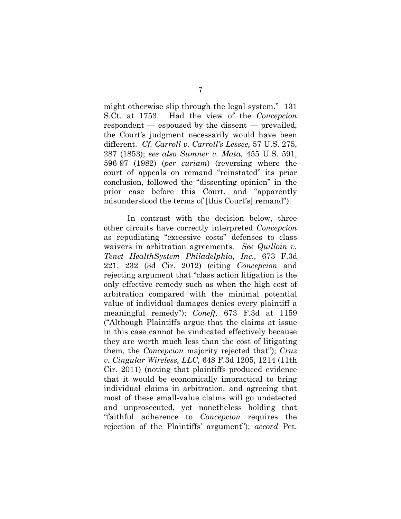<span id="page-14-4"></span><span id="page-14-0"></span>might otherwise slip through the legal system." 131 S.Ct. at 1753. Had the view of the *Concepcion*  respondent — espoused by the dissent — prevailed, the Court's judgment necessarily would have been different. *Cf. Carroll v. Carroll's Lessee,* 57 U.S. 275, 287 (1853); *see also [Sumner v. Mata,](https://web2.westlaw.com/find/default.wl?mt=Westlaw&db=780&tc=-1&rp=%2ffind%2fdefault.wl&findtype=Y&ordoc=2007616572&serialnum=1982113054&vr=2.0&fn=_top&sv=Split&tf=-1&referencepositiontype=S&pbc=61BC7994&referenceposition=596&rs=WLW12.04)* 455 U.S. 591, [596-97 \(1982\)](https://web2.westlaw.com/find/default.wl?mt=Westlaw&db=780&tc=-1&rp=%2ffind%2fdefault.wl&findtype=Y&ordoc=2007616572&serialnum=1982113054&vr=2.0&fn=_top&sv=Split&tf=-1&referencepositiontype=S&pbc=61BC7994&referenceposition=596&rs=WLW12.04) (*per curiam*) (reversing where the court of appeals on remand "reinstated" its prior conclusion, followed the "dissenting opinion" in the prior case before this Court, and "apparently misunderstood the terms of [this Court's] remand").

<span id="page-14-3"></span><span id="page-14-2"></span><span id="page-14-1"></span>In contrast with the decision below, three other circuits have correctly interpreted *Concepcion*  as repudiating "excessive costs" defenses to class waivers in arbitration agreements. *See Quilloin v. Tenet HealthSystem Philadelphia, Inc.,* 673 F.3d 221, 232 (3d Cir. 2012) (citing *Concepcion* and rejecting argument that "class action litigation is the only effective remedy such as when the high cost of arbitration compared with the minimal potential value of individual damages denies every plaintiff a meaningful remedy"); *Coneff,* 673 F.3d at 1159 ("Although Plaintiffs argue that the claims at issue in this case cannot be vindicated effectively because they are worth much less than the cost of litigating them, the *Concepcion* majority rejected that"); *[Cruz](https://web2.westlaw.com/find/default.wl?mt=Westlaw&db=506&tc=-1&rp=%2ffind%2fdefault.wl&findtype=Y&ordoc=2027327775&serialnum=2025851520&vr=2.0&fn=_top&sv=Split&tf=-1&referencepositiontype=S&pbc=6A4BC7DC&referenceposition=1215&rs=WLW12.04)  v. Cingular Wireless, LLC,* [648 F.3d 1205, 1214 \(11th](https://web2.westlaw.com/find/default.wl?mt=Westlaw&db=506&tc=-1&rp=%2ffind%2fdefault.wl&findtype=Y&ordoc=2027327775&serialnum=2025851520&vr=2.0&fn=_top&sv=Split&tf=-1&referencepositiontype=S&pbc=6A4BC7DC&referenceposition=1215&rs=WLW12.04)  [Cir. 2011\)](https://web2.westlaw.com/find/default.wl?mt=Westlaw&db=506&tc=-1&rp=%2ffind%2fdefault.wl&findtype=Y&ordoc=2027327775&serialnum=2025851520&vr=2.0&fn=_top&sv=Split&tf=-1&referencepositiontype=S&pbc=6A4BC7DC&referenceposition=1215&rs=WLW12.04) (noting that plaintiffs produced evidence that it would be economically impractical to bring individual claims in arbitration, and agreeing that most of these small-value claims will go undetected and unprosecuted, yet nonetheless holding that "faithful adherence to *[Concepcion](https://web2.westlaw.com/find/default.wl?rs=WLW12.04&pbc=8E9CAE9B&vr=2.0&findtype=Y&rp=%2ffind%2fdefault.wl&sv=Split&fn=_top&tf=-1&ordoc=2025851520&mt=Westlaw&serialnum=2025172541&tc=-1)* requires the rejection of the Plaintiffs' argument"); *accord* Pet.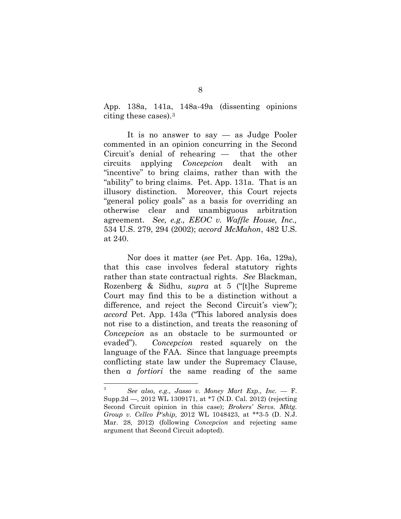App. 138a, 141a, 148a-49a (dissenting opinions citing these cases).[3](#page-15-3)

It is no answer to say — as Judge Pooler commented in an opinion concurring in the Second Circuit's denial of rehearing — that the other circuits applying *Concepcion* dealt with an "incentive" to bring claims, rather than with the "ability" to bring claims. Pet. App. 131a. That is an illusory distinction. Moreover, this Court rejects "general policy goals" as a basis for overriding an otherwise clear and unambiguous arbitration agreement. *See, e.g., EEOC v. Waffle House, Inc.,*  534 U.S. 279, 294 (2002); *accord McMahon*, 482 U.S. at 240.

<span id="page-15-1"></span>Nor does it matter (*see* Pet. App. 16a, 129a), that this case involves federal statutory rights rather than state contractual rights. *See* Blackman, Rozenberg & Sidhu, *supra* at 5 ("[t]he Supreme Court may find this to be a distinction without a difference, and reject the Second Circuit's view"); *accord* Pet. App. 143a ("This labored analysis does not rise to a distinction, and treats the reasoning of *Concepcion* as an obstacle to be surmounted or evaded"). *Concepcion* rested squarely on the language of the FAA. Since that language preempts conflicting state law under the Supremacy Clause, then *a fortiori* the same reading of the same

<span id="page-15-3"></span><span id="page-15-2"></span><span id="page-15-0"></span> $\overline{\mathbf{3}}$ <sup>3</sup> *See also, e.g., Jasso v. Money Mart Exp., Inc. —* F. Supp.2d —, 2012 WL 1309171, at \*7 (N.D. Cal. 2012) (rejecting Second Circuit opinion in this case); *Brokers' Servs. Mktg. Group v. Cellco P'ship,* 2012 WL 1048423, at \*\*3-5 (D. N.J. Mar. 28, 2012) (following *Concepcion* and rejecting same argument that Second Circuit adopted).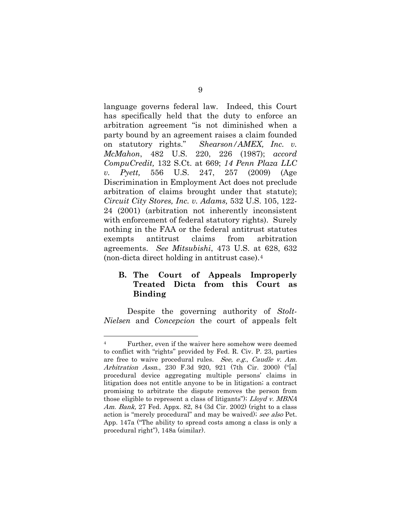<span id="page-16-6"></span><span id="page-16-3"></span><span id="page-16-0"></span>language governs federal law. Indeed, this Court has specifically held that the duty to enforce an arbitration agreement "is not diminished when a party bound by an agreement raises a claim founded on statutory rights." *Shearson/AMEX, Inc. v. McMahon*, 482 U.S. 220, 226 (1987); *accord CompuCredit,* 132 S.Ct. at 669; *14 Penn Plaza LLC v. Pyett,* 556 U.S. 247, 257 (2009) (Age Discrimination in Employment Act does not preclude arbitration of claims brought under that statute); *Circuit City Stores, Inc. v. Adams,* 532 U.S. 105, 122- 24 (2001) (arbitration not inherently inconsistent with enforcement of federal statutory rights). Surely nothing in the FAA or the federal antitrust statutes exempts antitrust claims from arbitration agreements. *See Mitsubishi*, 473 U.S. at 628, 632 (non-dicta direct holding in antitrust case).[4](#page-16-8)

## <span id="page-16-5"></span><span id="page-16-2"></span>**B. The Court of Appeals Improperly Treated Dicta from this Court as Binding**

Despite the governing authority of *Stolt-Nielsen* and *Concepcion* the court of appeals felt

<span id="page-16-8"></span><span id="page-16-7"></span><span id="page-16-4"></span><span id="page-16-1"></span> <sup>4</sup> Further, even if the waiver here somehow were deemed to conflict with "rights" provided by Fed. R. Civ. P. 23, parties are free to waive procedural rules. See, e.g., Caudle v. Am. Arbitration Assn[., 230 F.3d 920, 921 \(7th Cir. 2000\)](http://www.westlaw.com/Find/Default.wl?rs=dfa1.0&vr=2.0&DB=506&FindType=Y&ReferencePositionType=S&SerialNum=2000571526&ReferencePosition=921) ("[a] procedural device aggregating multiple persons' claims in litigation does not entitle anyone to be in litigation; a contract promising to arbitrate the dispute removes the person from those eligible to represent a class of litigants"); Lloyd v. MBNA Am. Bank, [27 Fed. Appx. 82, 84 \(3d Cir. 2002\)](http://www.westlaw.com/Find/Default.wl?rs=dfa1.0&vr=2.0&DB=6538&FindType=Y&ReferencePositionType=S&SerialNum=2002049469&ReferencePosition=84) (right to a class action is "merely procedural" and may be waived); see also Pet. App. 147a ("The ability to spread costs among a class is only a procedural right"), 148a (similar).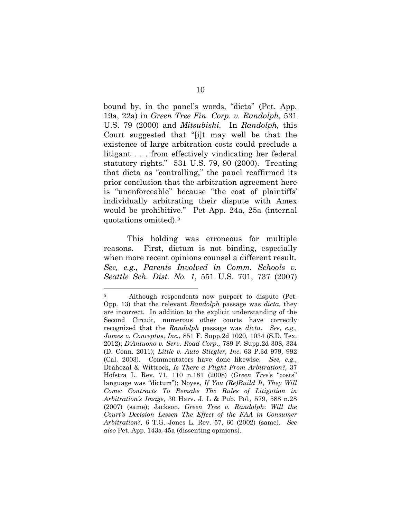<span id="page-17-1"></span>bound by, in the panel's words, "dicta" (Pet. App. 19a, 22a) in *Green Tree Fin. Corp. v. Randolph,* 531 U.S. 79 (2000) and *Mitsubishi.* In *Randolph,* this Court suggested that "[i]t may well be that the existence of large arbitration costs could preclude a litigant . . . from effectively vindicating her federal statutory rights." 531 U.S. 79, 90 (2000). Treating that dicta as "controlling," the panel reaffirmed its prior conclusion that the arbitration agreement here is "unenforceable" because "the cost of plaintiffs' individually arbitrating their dispute with Amex would be prohibitive." Pet App. 24a, 25a (internal quotations omitted).[5](#page-17-9)

<span id="page-17-5"></span>This holding was erroneous for multiple reasons. First, dictum is not binding, especially when more recent opinions counsel a different result. *See, e.g., [Parents Involved in Comm. Schools v.](https://web2.westlaw.com/find/default.wl?returnto=BusinessNameReturnTo&db=BC-COMPANYSRBD&rs=WLW12.04&lvbp=T&vr=2.0&rp=%2ffind%2fdefault.wl&sv=Split&fn=_top&findtype=l&mt=Westlaw&docname=CIK(LE10430799))  [Seattle Sch. Dist. No. 1](https://web2.westlaw.com/find/default.wl?returnto=BusinessNameReturnTo&db=BC-COMPANYSRBD&rs=WLW12.04&lvbp=T&vr=2.0&rp=%2ffind%2fdefault.wl&sv=Split&fn=_top&findtype=l&mt=Westlaw&docname=CIK(LE10430799))*, 551 U.S. 701, 737 (2007)

<span id="page-17-9"></span><span id="page-17-8"></span><span id="page-17-7"></span><span id="page-17-6"></span><span id="page-17-4"></span><span id="page-17-3"></span><span id="page-17-2"></span><span id="page-17-0"></span> <sup>5</sup> Although respondents now purport to dispute (Pet. Opp. 13) that the relevant *Randolph* passage was *dicta,* they are incorrect. In addition to the explicit understanding of the Second Circuit, numerous other courts have correctly recognized that the *Randolph* passage was *dicta*. *See, e.g., [James v. Conceptus, Inc.](https://web2.westlaw.com/find/default.wl?rs=WLW12.04&pbc=BC6E23F9&vr=2.0&docname=CIK(0000896778)&lvbp=T&rp=%2ffind%2fdefault.wl&sv=Split&fn=_top&findtype=l&mt=Westlaw&returnto=BusinessNameReturnTo&db=BC-COMPANYSRBD)*, 851 F. Supp.2d 1020, 1034 (S.D. Tex. 2012); *D'Antuono v. Serv. Road Corp.,* 789 F. Supp.2d 308, 334 (D. Conn. 2011); *Little v. Auto Stiegler, Inc*. 63 P.3d 979, 992 (Cal. 2003). Commentators have done likewise. *See, e.g.,* Drahozal & Wittrock, *Is There a Flight From Arbitration?,* 37 Hofstra L. Rev. 71, 110 n.181 (2008) (*Green Tree'*s "costs" language was "dictum"); Noyes, *If You (Re)Build It, They Will Come: Contracts To Remake The Rules of Litigation in Arbitration's Image*, 30 Harv. J. L & Pub. Pol., 579, 588 n.28 (2007) (same); Jackson, *Green Tree v. Randolph*: *Will the Court's Decision Lessen The Effect of the FAA in Consumer Arbitration?,* 6 T.G. Jones L. Rev. 57, 60 (2002) (same). *See also* Pet. App. 143a-45a (dissenting opinions).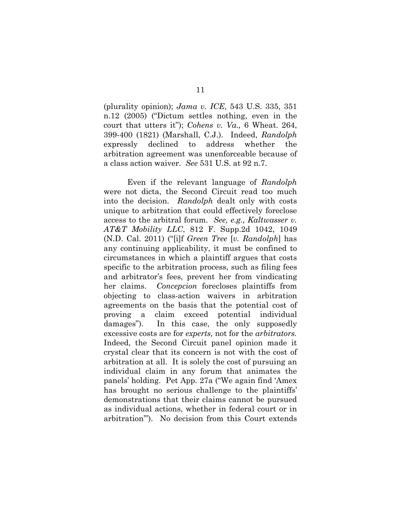<span id="page-18-1"></span><span id="page-18-0"></span>(plurality opinion); *Jama v. ICE*, 543 U.S. 335, 351 n.12 (2005) ("Dictum settles nothing, even in the court that utters it"); *Cohens v. Va.,* [6 Wheat. 264,](https://web2.westlaw.com/find/default.wl?mt=Westlaw&db=780&tc=-1&rp=%2ffind%2fdefault.wl&findtype=Y&ordoc=2012563426&serialnum=1821192734&vr=2.0&fn=_top&sv=Split&tf=-1&referencepositiontype=S&pbc=6E5DDA05&referenceposition=399&rs=WLW12.04)  [399-400 \(1821\)](https://web2.westlaw.com/find/default.wl?mt=Westlaw&db=780&tc=-1&rp=%2ffind%2fdefault.wl&findtype=Y&ordoc=2012563426&serialnum=1821192734&vr=2.0&fn=_top&sv=Split&tf=-1&referencepositiontype=S&pbc=6E5DDA05&referenceposition=399&rs=WLW12.04) (Marshall, C.J.). Indeed, *Randolph*  expressly declined to address whether the arbitration agreement was unenforceable because of a class action waiver. *See* 531 U.S. at 92 n.7.

<span id="page-18-2"></span>Even if the relevant language of *Randolph*  were not dicta, the Second Circuit read too much into the decision. *Randolph* dealt only with costs unique to arbitration that could effectively foreclose access to the arbitral forum. *See, e.g., Kaltwasser v. AT&T Mobility LLC*, 812 F. Supp.2d 1042, 1049 (N.D. Cal. 2011) ("[i]f *Green Tree* [*v. Randolph*] has any continuing applicability, it must be confined to circumstances in which a plaintiff argues that costs specific to the arbitration process, such as filing fees and arbitrator's fees, prevent her from vindicating her claims. *Concepcion* forecloses plaintiffs from objecting to class-action waivers in arbitration agreements on the basis that the potential cost of proving a claim exceed potential individual damages"). In this case, the only supposedly excessive costs are for *experts,* not for the *arbitrators.*  Indeed, the Second Circuit panel opinion made it crystal clear that its concern is not with the cost of arbitration at all. It is solely the cost of pursuing an individual claim in any forum that animates the panels' holding. Pet App. 27a ("We again find 'Amex has brought no serious challenge to the plaintiffs' demonstrations that their claims cannot be pursued as individual actions, whether in federal court or in arbitration'"). No decision from this Court extends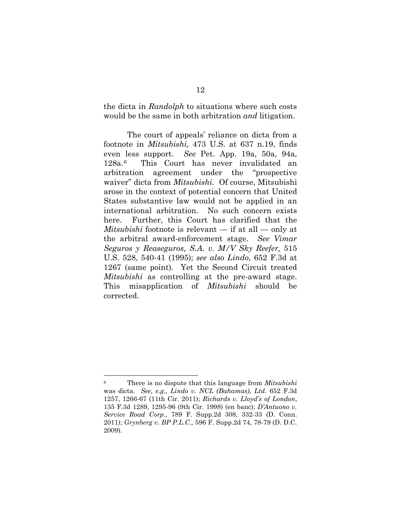<span id="page-19-1"></span>the dicta in *Randolph* to situations where such costs would be the same in both arbitration *and* litigation.

<span id="page-19-8"></span><span id="page-19-5"></span><span id="page-19-4"></span>The court of appeals' reliance on dicta from a footnote in *Mitsubishi,* 473 U.S. at 637 n.19, finds even less support. *See* Pet. App. 19a, 50a, 94a, 128a.[6](#page-19-9) *[Vimar](https://web2.westlaw.com/find/default.wl?mt=Westlaw&db=708&tc=-1&rp=%2ffind%2fdefault.wl&findtype=Y&ordoc=2025963044&serialnum=1995130197&vr=2.0&fn=_top&sv=Split&tf=-1&referencepositiontype=S&pbc=E9DE0553&referenceposition=2329&rs=WLW12.04)*  the arbitral award-enforcement stage. *See [Seguros y Reaseguros, S.A. v. M/V Sky Reefer,](https://web2.westlaw.com/find/default.wl?mt=Westlaw&db=708&tc=-1&rp=%2ffind%2fdefault.wl&findtype=Y&ordoc=2025963044&serialnum=1995130197&vr=2.0&fn=_top&sv=Split&tf=-1&referencepositiontype=S&pbc=E9DE0553&referenceposition=2329&rs=WLW12.04)* 515 [U.S. 528, 540-41 \(1995\)](https://web2.westlaw.com/find/default.wl?mt=Westlaw&db=708&tc=-1&rp=%2ffind%2fdefault.wl&findtype=Y&ordoc=2025963044&serialnum=1995130197&vr=2.0&fn=_top&sv=Split&tf=-1&referencepositiontype=S&pbc=E9DE0553&referenceposition=2329&rs=WLW12.04) ; *see also Lindo,* 652 F.3d at This Court has never invalidated an arbitration agreement under the "prospective waiver" dicta from *Mitsubishi.* Of course, Mitsubishi arose in the context of potential concern that United States substantive law would not be applied in an international arbitration. No such concern exists here. Further, this Court has clarified that the *Mitsubishi* footnote is relevant — if at all — only at 1267 (same point). Yet the Second Circuit treated *Mitsubishi* as controlling at the pre-award stage. This misapplication of *Mitsubishi* should be corrected.

<span id="page-19-9"></span><span id="page-19-7"></span><span id="page-19-6"></span><span id="page-19-3"></span><span id="page-19-2"></span><span id="page-19-0"></span> <sup>6</sup> There is no dispute that this language from *Mitsubishi*  was dicta. *See, e.g., Lindo v. NCL (Bahamas), Ltd.* 652 F.3d 1257, 1266-67 (11th Cir. 2011); *Richards v. Lloyd's of London*, 135 F.3d 1289, 1295-96 (9th Cir. 1998) (en banc); *D'Antuono v. Service Road Corp.,* 789 F. Supp.2d 308, 332-33 (D. Conn. 2011); *Grynberg v. BP P.L.C.,* 596 F. Supp.2d 74, 78-79 (D. D.C. 2009).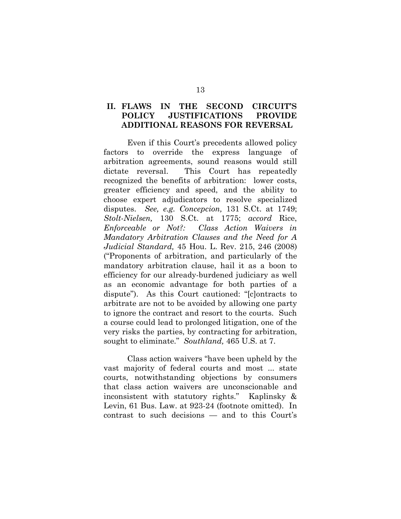### **II. FLAWS IN THE SECOND CIRCUIT'S POLICY JUSTIFICATIONS PROVIDE ADDITIONAL REASONS FOR REVERSAL**

<span id="page-20-2"></span>Even if this Court's precedents allowed policy factors to override the express language of arbitration agreements, sound reasons would still dictate reversal. This Court has repeatedly recognized the benefits of arbitration: lower costs, greater efficiency and speed, and the ability to choose expert adjudicators to resolve specialized disputes. *See, e.g. Concepcion,* 131 S.Ct. at 1749; *[Stolt-Nielsen,](https://web2.westlaw.com/find/default.wl?returnto=BusinessNameReturnTo&db=BC-COMPANYSRBD&rs=WLW12.04&lvbp=T&vr=2.0&rp=%2ffind%2fdefault.wl&sv=Split&fn=_top&findtype=l&mt=Westlaw&docname=CIK(LE10228608))* 130 S.Ct. at 1775; *accord* Rice, *Enforceable or Not?: Class Action Waivers in Mandatory Arbitration Clauses and the Need for A Judicial Standard,* 45 Hou. L. Rev. 215, 246 (2008) ("Proponents of arbitration, and particularly of the mandatory arbitration clause, hail it as a boon to efficiency for our already-burdened judiciary as well as an economic advantage for both parties of a dispute"). As this Court cautioned: "[c]ontracts to arbitrate are not to be avoided by allowing one party to ignore the contract and resort to the courts. Such a course could lead to prolonged litigation, one of the very risks the parties, by contracting for arbitration, sought to eliminate." *Southland,* 465 U.S. at 7.

<span id="page-20-1"></span><span id="page-20-0"></span>Class action waivers "have been upheld by the vast majority of federal courts and most ... state courts, notwithstanding objections by consumers that class action waivers are unconscionable and inconsistent with statutory rights." Kaplinsky & Levin, 61 Bus. Law. at 923-24 (footnote omitted). In contrast to such decisions — and to this Court's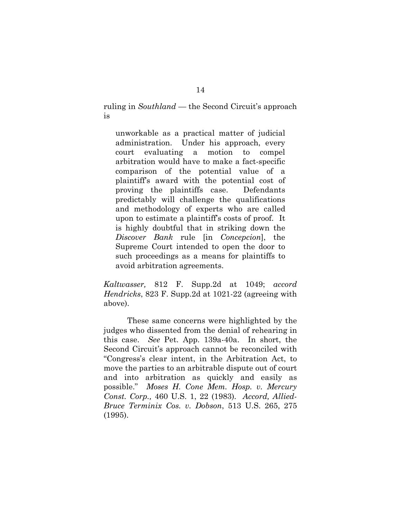<span id="page-21-4"></span>ruling in *Southland* — the Second Circuit's approach is

unworkable as a practical matter of judicial administration. Under his approach, every court evaluating a motion to compel arbitration would have to make a fact-specific comparison of the potential value of a plaintiff's award with the potential cost of proving the plaintiffs case. Defendants predictably will challenge the qualifications and methodology of experts who are called upon to estimate a plaintiff's costs of proof. It is highly doubtful that in striking down the *[Discover Bank](https://web2.westlaw.com/find/default.wl?rs=WLW12.04&pbc=816DE05E&vr=2.0&findtype=Y&rp=%2ffind%2fdefault.wl&sv=Split&fn=_top&tf=-1&ordoc=2026188215&mt=Westlaw&serialnum=2006859502&tc=-1)* rule [in *Concepcion*], the Supreme Court intended to open the door to such proceedings as a means for plaintiffs to avoid arbitration agreements.

<span id="page-21-2"></span><span id="page-21-1"></span>*Kaltwasser,* 812 F. Supp.2d at 1049; *accord Hendricks*, 823 F. Supp.2d at 1021-22 (agreeing with above).

<span id="page-21-3"></span><span id="page-21-0"></span>These same concerns were highlighted by the judges who dissented from the denial of rehearing in this case. *See* Pet. App. 139a-40a. In short, the Second Circuit's approach cannot be reconciled with "Congress's clear intent, in the Arbitration Act, to move the parties to an arbitrable dispute out of court and into arbitration as quickly and easily as possible." *Moses H. Cone Mem. Hosp. v. Mercury Const. Corp.,* 460 U.S. 1, 22 (1983). *Accord, Allied-Bruce Terminix Cos. v. Dobson*, 513 U.S. 265, 275 (1995).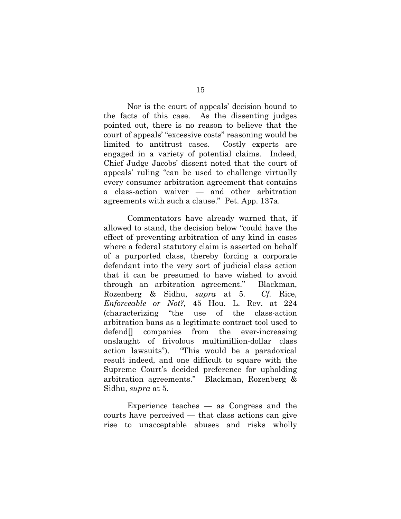Nor is the court of appeals' decision bound to the facts of this case. As the dissenting judges pointed out, there is no reason to believe that the court of appeals' "excessive costs" reasoning would be limited to antitrust cases. Costly experts are engaged in a variety of potential claims. Indeed, Chief Judge Jacobs' dissent noted that the court of appeals' ruling "can be used to challenge virtually every consumer arbitration agreement that contains a class-action waiver — and other arbitration agreements with such a clause." Pet. App. 137a.

<span id="page-22-0"></span>Commentators have already warned that, if allowed to stand, the decision below "could have the effect of preventing arbitration of any kind in cases where a federal statutory claim is asserted on behalf of a purported class, thereby forcing a corporate defendant into the very sort of judicial class action that it can be presumed to have wished to avoid through an arbitration agreement." Blackman, Rozenberg & Sidhu, *supra* at 5*. Cf.* Rice, *Enforceable or Not?,* 45 Hou. L. Rev. at 224 (characterizing "the use of the class-action arbitration bans as a legitimate contract tool used to defend[] companies from the ever-increasing onslaught of frivolous multimillion-dollar class action lawsuits"). "This would be a paradoxical result indeed, and one difficult to square with the Supreme Court's decided preference for upholding arbitration agreements." Blackman, Rozenberg & Sidhu, *supra* at 5*.*

Experience teaches — as Congress and the courts have perceived — that class actions can give rise to unacceptable abuses and risks wholly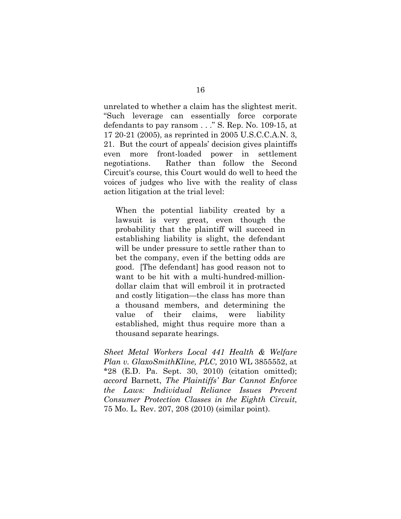<span id="page-23-1"></span>unrelated to whether a claim has the slightest merit. "Such leverage can essentially force corporate defendants to pay ransom . . ." S. Rep. No. 109-15, at 17 20-21 (2005), as reprinted in 2005 U.S.C.C.A.N. 3, 21. But the court of appeals' decision gives plaintiffs even more front-loaded power in settlement negotiations. Rather than follow the Second Circuit's course, this Court would do well to heed the voices of judges who live with the reality of class action litigation at the trial level:

When the potential liability created by a lawsuit is very great, even though the probability that the plaintiff will succeed in establishing liability is slight, the defendant will be under pressure to settle rather than to bet the company, even if the betting odds are good. [The defendant] has good reason not to want to be hit with a multi-hundred-milliondollar claim that will embroil it in protracted and costly litigation—the class has more than a thousand members, and determining the value of their claims, were liability established, might thus require more than a thousand separate hearings.

<span id="page-23-2"></span><span id="page-23-0"></span>*[Sheet Metal Workers Local 441 Health & Welfare](https://web2.westlaw.com/find/default.wl?rs=WLW12.10&pbc=BC6E23F9&vr=2.0&docname=CIK(0001131399)&lvbp=T&rp=%2ffind%2fdefault.wl&sv=Split&fn=_top&findtype=l&mt=Westlaw&returnto=BusinessNameReturnTo&db=BC-COMPANYSRBD)  [Plan v. GlaxoSmithKline, PLC,](https://web2.westlaw.com/find/default.wl?rs=WLW12.10&pbc=BC6E23F9&vr=2.0&docname=CIK(0001131399)&lvbp=T&rp=%2ffind%2fdefault.wl&sv=Split&fn=_top&findtype=l&mt=Westlaw&returnto=BusinessNameReturnTo&db=BC-COMPANYSRBD)* 2010 WL 3855552, at \*28 (E.D. Pa. Sept. 30, 2010) (citation omitted); *accord* Barnett, *The Plaintiffs' Bar Cannot Enforce the Laws: Individual Reliance Issues Prevent Consumer Protection Classes in the Eighth Circuit*, 75 Mo. L. Rev. 207, 208 (2010) (similar point).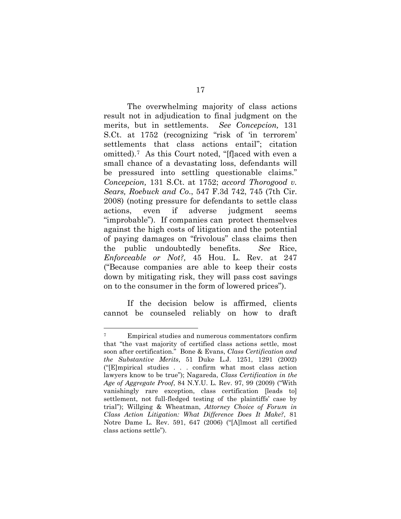<span id="page-24-0"></span>The overwhelming majority of class actions result not in adjudication to final judgment on the merits, but in settlements. *See Concepcion,* 131 S.Ct. at 1752 (recognizing "risk of 'in terrorem' settlements that class actions entail"; citation omitted).[7](#page-24-5) As this Court noted, "[f]aced with even a small chance of a devastating loss, defendants will be pressured into settling questionable claims." *Concepcion,* 131 S.Ct. at 1752; *accord Thorogood v. Sears, Roebuck and Co*., 547 F.3d 742, 745 (7th Cir. 2008) (noting pressure for defendants to settle class actions, even if adverse judgment seems "improbable"). If companies can protect themselves against the high costs of litigation and the potential of paying damages on "frivolous" class claims then the public undoubtedly benefits. *See* Rice, *Enforceable or Not?,* 45 Hou. L. Rev. at 247 ("Because companies are able to keep their costs down by mitigating risk, they will pass cost savings on to the consumer in the form of lowered prices").

<span id="page-24-3"></span>If the decision below is affirmed, clients cannot be counseled reliably on how to draft

<span id="page-24-5"></span><span id="page-24-4"></span><span id="page-24-2"></span><span id="page-24-1"></span> <sup>7</sup> Empirical studies and numerous commentators confirm that "the vast majority of certified class actions settle, most soon after certification." Bone & Evans, *Class Certification and the Substantive Merits*, 51 Duke L.J. 1251, 1291 (2002) ("[E]mpirical studies . . . confirm what most class action lawyers know to be true"); Nagareda, *Class Certification in the Age of Aggregate Proof*, 84 N.Y.U. L. Rev. 97, 99 (2009) ("With vanishingly rare exception, class certification [leads to] settlement, not full-fledged testing of the plaintiffs' case by trial"); Willging & Wheatman, *Attorney Choice of Forum in Class Action Litigation: What Difference Does It Make?*, 81 Notre Dame L. Rev. 591, 647 (2006) ("[A]lmost all certified class actions settle").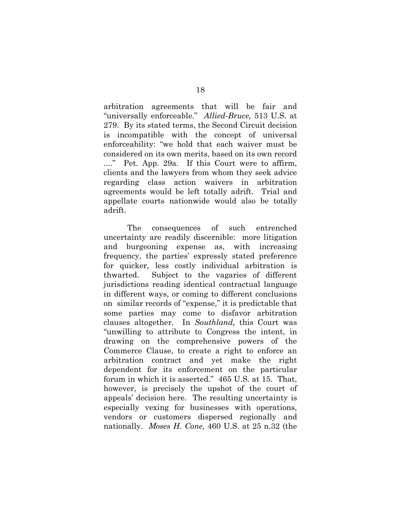<span id="page-25-0"></span>arbitration agreements that will be fair and "universally enforceable." *Allied-Bruce,* 513 U.S. at 279. By its stated terms, the Second Circuit decision is incompatible with the concept of universal enforceability: "we hold that each waiver must be considered on its own merits, based on its own record ...." Pet. App. 29a. If this Court were to affirm, clients and the lawyers from whom they seek advice regarding class action waivers in arbitration agreements would be left totally adrift. Trial and appellate courts nationwide would also be totally adrift.

<span id="page-25-2"></span><span id="page-25-1"></span>The consequences of such entrenched uncertainty are readily discernible: more litigation and burgeoning expense as, with increasing frequency, the parties' expressly stated preference for quicker, less costly individual arbitration is thwarted. Subject to the vagaries of different jurisdictions reading identical contractual language in different ways, or coming to different conclusions on similar records of "expense," it is predictable that some parties may come to disfavor arbitration clauses altogether. In *Southland,* this Court was "unwilling to attribute to Congress the intent, in drawing on the comprehensive powers of the Commerce Clause, to create a right to enforce an arbitration contract and yet make the right dependent for its enforcement on the particular forum in which it is asserted." 465 U.S. at 15. That, however, is precisely the upshot of the court of appeals' decision here. The resulting uncertainty is especially vexing for businesses with operations, vendors or customers dispersed regionally and nationally. *Moses H. Cone,* 460 U.S. at 25 n.32 (the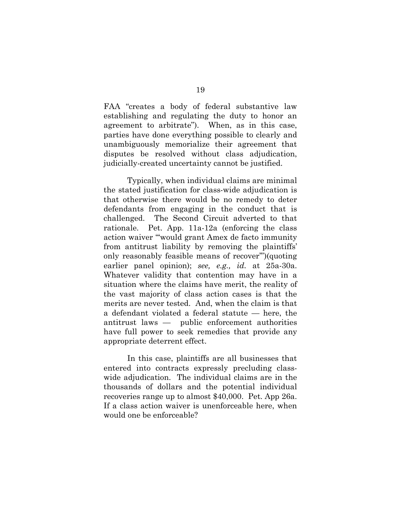FAA "creates a body of federal substantive law establishing and regulating the duty to honor an agreement to arbitrate"). When, as in this case, parties have done everything possible to clearly and unambiguously memorialize their agreement that disputes be resolved without class adjudication, judicially-created uncertainty cannot be justified.

Typically, when individual claims are minimal the stated justification for class-wide adjudication is that otherwise there would be no remedy to deter defendants from engaging in the conduct that is challenged. The Second Circuit adverted to that rationale. Pet. App. 11a-12a (enforcing the class action waiver "'would grant Amex de facto immunity from antitrust liability by removing the plaintiffs' only reasonably feasible means of recover'")(quoting earlier panel opinion); *see, e.g., id.* at 25a-30a. Whatever validity that contention may have in a situation where the claims have merit, the reality of the vast majority of class action cases is that the merits are never tested. And, when the claim is that a defendant violated a federal statute — here, the antitrust laws — public enforcement authorities have full power to seek remedies that provide any appropriate deterrent effect.

In this case, plaintiffs are all businesses that entered into contracts expressly precluding classwide adjudication. The individual claims are in the thousands of dollars and the potential individual recoveries range up to almost \$40,000. Pet. App 26a. If a class action waiver is unenforceable here, when would one be enforceable?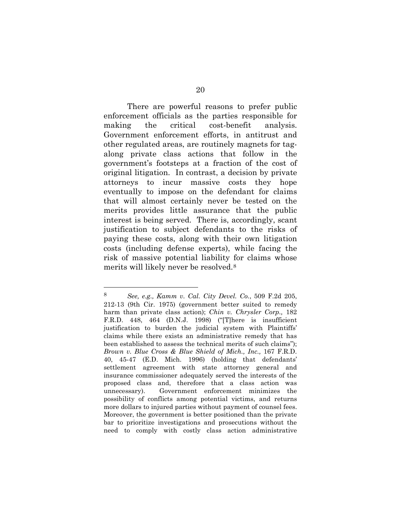There are powerful reasons to prefer public enforcement officials as the parties responsible for making the critical cost-benefit analysis. Government enforcement efforts, in antitrust and other regulated areas, are routinely magnets for tagalong private class actions that follow in the government's footsteps at a fraction of the cost of original litigation. In contrast, a decision by private attorneys to incur massive costs they hope eventually to impose on the defendant for claims that will almost certainly never be tested on the merits provides little assurance that the public interest is being served. There is, accordingly, scant justification to subject defendants to the risks of paying these costs, along with their own litigation costs (including defense experts), while facing the risk of massive potential liability for claims whose merits will likely never be resolved.[8](#page-27-3)

<span id="page-27-3"></span><span id="page-27-2"></span><span id="page-27-1"></span><span id="page-27-0"></span> <sup>8</sup> *See, e.g., Kamm v. Cal. City Devel. Co.*, [509 F.2d 205,](https://web2.westlaw.com/find/default.wl?mt=Westlaw&db=350&tc=-1&rp=%2ffind%2fdefault.wl&findtype=Y&ordoc=0304514101&serialnum=1975109315&vr=2.0&fn=_top&sv=Split&tf=-1&pbc=CAA7BFE8&rs=WLW12.07)  [212-13 \(9th Cir. 1975\)](https://web2.westlaw.com/find/default.wl?mt=Westlaw&db=350&tc=-1&rp=%2ffind%2fdefault.wl&findtype=Y&ordoc=0304514101&serialnum=1975109315&vr=2.0&fn=_top&sv=Split&tf=-1&pbc=CAA7BFE8&rs=WLW12.07) (government better suited to remedy harm than private class action); *Chin v. Chrysler Corp.,* [182](https://web2.westlaw.com/find/default.wl?mt=Westlaw&db=344&tc=-1&rp=%2ffind%2fdefault.wl&findtype=Y&ordoc=0351647516&serialnum=1998189551&vr=2.0&fn=_top&sv=Split&tf=-1&pbc=26FB7E9A&rs=WLW12.07)  [F.R.D. 448, 464 \(D.N.J. 1998\)](https://web2.westlaw.com/find/default.wl?mt=Westlaw&db=344&tc=-1&rp=%2ffind%2fdefault.wl&findtype=Y&ordoc=0351647516&serialnum=1998189551&vr=2.0&fn=_top&sv=Split&tf=-1&pbc=26FB7E9A&rs=WLW12.07) ("[T]here is insufficient justification to burden the judicial system with Plaintiffs' claims while there exists an administrative remedy that has been established to assess the technical merits of such claims"); *[Brown v. Blue Cross & Blue Shield of Mich., Inc.,](https://web2.westlaw.com/find/default.wl?mt=Westlaw&db=344&tc=-1&rp=%2ffind%2fdefault.wl&findtype=Y&ordoc=0304514101&serialnum=1996115561&vr=2.0&fn=_top&sv=Split&tf=-1&referencepositiontype=S&pbc=CAA7BFE8&referenceposition=45&rs=WLW12.07)* 167 F.R.D. [40, 45-47 \(E.D. Mich. 1996\)](https://web2.westlaw.com/find/default.wl?mt=Westlaw&db=344&tc=-1&rp=%2ffind%2fdefault.wl&findtype=Y&ordoc=0304514101&serialnum=1996115561&vr=2.0&fn=_top&sv=Split&tf=-1&referencepositiontype=S&pbc=CAA7BFE8&referenceposition=45&rs=WLW12.07) (holding that defendants' settlement agreement with state attorney general and insurance commissioner adequately served the interests of the proposed class and, therefore that a class action was unnecessary). Government enforcement minimizes the possibility of conflicts among potential victims, and returns more dollars to injured parties without payment of counsel fees. Moreover, the government is better positioned than the private bar to prioritize investigations and prosecutions without the need to comply with costly class action administrative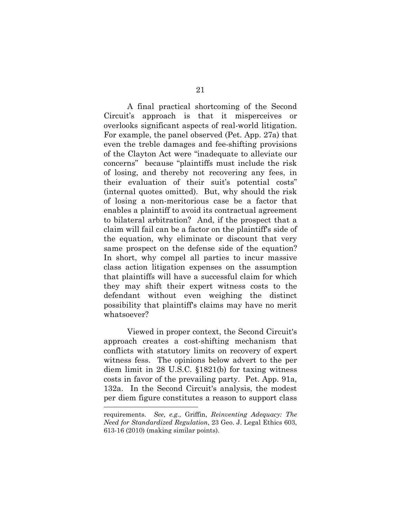A final practical shortcoming of the Second Circuit's approach is that it misperceives or overlooks significant aspects of real-world litigation. For example, the panel observed (Pet. App. 27a) that even the treble damages and fee-shifting provisions of the Clayton Act were "inadequate to alleviate our concerns" because "plaintiffs must include the risk of losing, and thereby not recovering any fees, in their evaluation of their suit's potential costs" (internal quotes omitted). But, why should the risk of losing a non-meritorious case be a factor that enables a plaintiff to avoid its contractual agreement to bilateral arbitration? And, if the prospect that a claim will fail can be a factor on the plaintiff's side of the equation, why eliminate or discount that very same prospect on the defense side of the equation? In short, why compel all parties to incur massive class action litigation expenses on the assumption that plaintiffs will have a successful claim for which they may shift their expert witness costs to the defendant without even weighing the distinct possibility that plaintiff's claims may have no merit whatsoever?

<span id="page-28-0"></span> Viewed in proper context, the Second Circuit's approach creates a cost-shifting mechanism that conflicts with statutory limits on recovery of expert witness fess. The opinions below advert to the per diem limit in 28 U.S.C. §1821(b) for taxing witness costs in favor of the prevailing party. Pet. App. 91a, 132a. In the Second Circuit's analysis, the modest per diem figure constitutes a reason to support class  $\overline{a}$ 

<span id="page-28-1"></span>requirements. *See, e.g.,* Griffin, *Reinventing Adequacy: The Need for Standardized Regulation*, 23 Geo. J. Legal Ethics 603, 613-16 (2010) (making similar points).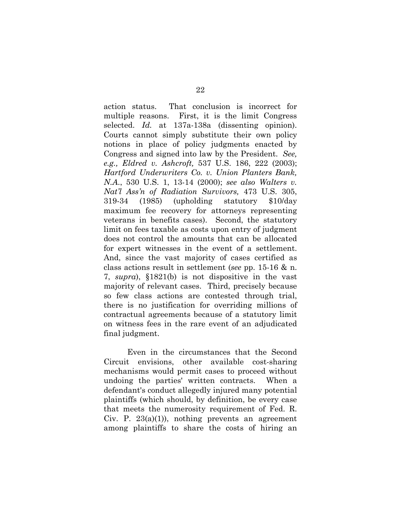<span id="page-29-2"></span><span id="page-29-1"></span><span id="page-29-0"></span>action status. That conclusion is incorrect for multiple reasons. First, it is the limit Congress selected. *Id.* at 137a-138a (dissenting opinion). Courts cannot simply substitute their own policy notions in place of policy judgments enacted by Congress and signed into law by the President. *See, e.g., Eldred v. Ashcroft,* [537 U.S. 186, 222 \(2003\);](https://web2.westlaw.com/find/default.wl?mt=Westlaw&db=708&tc=-1&rp=%2ffind%2fdefault.wl&findtype=Y&ordoc=2012925867&serialnum=2003078650&vr=2.0&fn=_top&sv=Split&tf=-1&pbc=9DABCDF9&rs=WLW12.04) *Hartford Underwriters Co. v. Union [Planters Bank](https://web2.westlaw.com/find/default.wl?rs=WLW12.04&pbc=7D0DEDDA&vr=2.0&docname=CIK()&lvbp=T&rp=%2ffind%2fdefault.wl&sv=Split&fn=_top&findtype=l&mt=Westlaw&returnto=BusinessNameReturnTo&db=BC-COMPANYSRBD), N.A*., 530 U.S. 1, 13-14 (2000); *see also Walters v. Nat'l Ass'n of Radiation Survivors,* 473 U.S. 305, 319-34 (1985) (upholding statutory \$10/day maximum fee recovery for attorneys representing veterans in benefits cases). Second, the statutory limit on fees taxable as costs upon entry of judgment does not control the amounts that can be allocated for expert witnesses in the event of a settlement. And, since the vast majority of cases certified as class actions result in settlement (*see* pp. 15-16 & n. 7, *supra*), §1821(b) is not dispositive in the vast majority of relevant cases. Third, precisely because so few class actions are contested through trial, there is no justification for overriding millions of contractual agreements because of a statutory limit on witness fees in the rare event of an adjudicated final judgment.

<span id="page-29-4"></span><span id="page-29-3"></span>Even in the circumstances that the Second Circuit envisions, other available cost-sharing mechanisms would permit cases to proceed without undoing the parties' written contracts. When a defendant's conduct allegedly injured many potential plaintiffs (which should, by definition, be every case that meets the numerosity requirement of Fed. R. Civ. P.  $23(a)(1)$ , nothing prevents an agreement among plaintiffs to share the costs of hiring an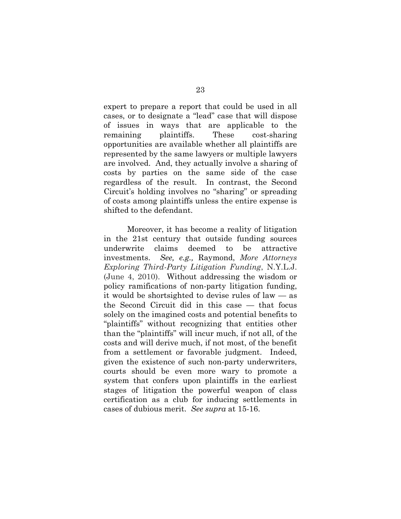expert to prepare a report that could be used in all cases, or to designate a "lead" case that will dispose of issues in ways that are applicable to the remaining plaintiffs. These cost-sharing opportunities are available whether all plaintiffs are represented by the same lawyers or multiple lawyers are involved. And, they actually involve a sharing of costs by parties on the same side of the case regardless of the result. In contrast, the Second Circuit's holding involves no "sharing" or spreading of costs among plaintiffs unless the entire expense is shifted to the defendant.

<span id="page-30-0"></span>Moreover, it has become a reality of litigation in the 21st century that outside funding sources underwrite claims deemed to be attractive investments. *See, e.g.,* Raymond, *More Attorneys Exploring Third-Party Litigation Funding*, N.Y.L.J. (June 4, 2010). Without addressing the wisdom or policy ramifications of non-party litigation funding, it would be shortsighted to devise rules of law — as the Second Circuit did in this case — that focus solely on the imagined costs and potential benefits to "plaintiffs" without recognizing that entities other than the "plaintiffs" will incur much, if not all, of the costs and will derive much, if not most, of the benefit from a settlement or favorable judgment. Indeed, given the existence of such non-party underwriters, courts should be even more wary to promote a system that confers upon plaintiffs in the earliest stages of litigation the powerful weapon of class certification as a club for inducing settlements in cases of dubious merit. *See supra* at 15-16.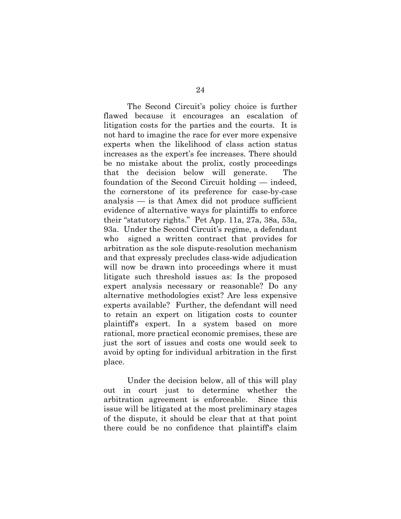The Second Circuit's policy choice is further flawed because it encourages an escalation of litigation costs for the parties and the courts. It is not hard to imagine the race for ever more expensive experts when the likelihood of class action status increases as the expert's fee increases. There should be no mistake about the prolix, costly proceedings that the decision below will generate. The foundation of the Second Circuit holding — indeed, the cornerstone of its preference for case-by-case analysis — is that Amex did not produce sufficient evidence of alternative ways for plaintiffs to enforce their "statutory rights." Pet App. 11a, 27a, 38a, 53a, 93a. Under the Second Circuit's regime, a defendant who signed a written contract that provides for arbitration as the sole dispute-resolution mechanism and that expressly precludes class-wide adjudication will now be drawn into proceedings where it must litigate such threshold issues as: Is the proposed expert analysis necessary or reasonable? Do any alternative methodologies exist? Are less expensive experts available? Further, the defendant will need to retain an expert on litigation costs to counter plaintiff's expert. In a system based on more rational, more practical economic premises, these are just the sort of issues and costs one would seek to avoid by opting for individual arbitration in the first place.

Under the decision below, all of this will play out in court just to determine whether the arbitration agreement is enforceable. Since this issue will be litigated at the most preliminary stages of the dispute, it should be clear that at that point there could be no confidence that plaintiff's claim